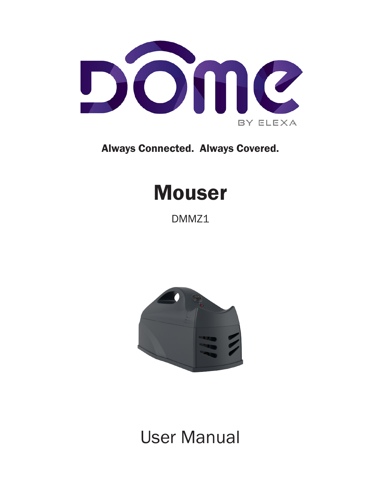

Always Connected. Always Covered.

# **Mouser**

DMMZ1



## User Manual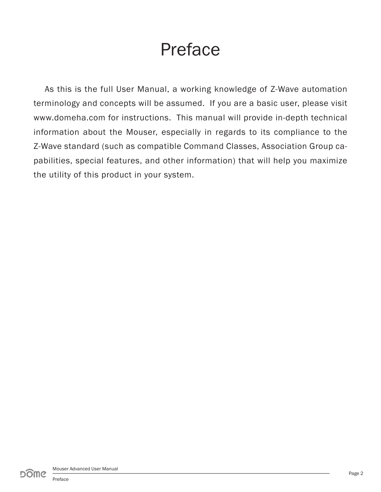## Preface

As this is the full User Manual, a working knowledge of Z-Wave automation terminology and concepts will be assumed. If you are a basic user, please visit www.domeha.com for instructions. This manual will provide in-depth technical information about the Mouser, especially in regards to its compliance to the Z-Wave standard (such as compatible Command Classes, Association Group capabilities, special features, and other information) that will help you maximize the utility of this product in your system.

Preface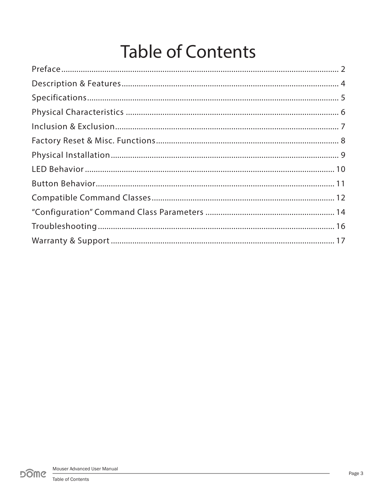# **Table of Contents**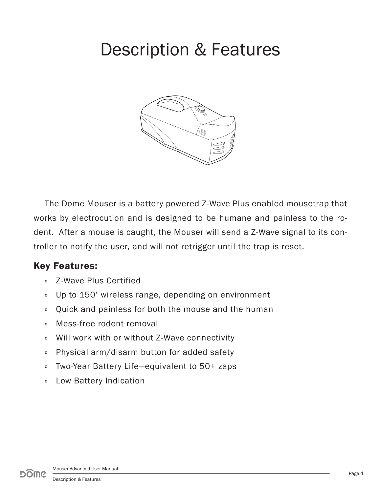### Description & Features



The Dome Mouser is a battery powered Z-Wave Plus enabled mousetrap that works by electrocution and is designed to be humane and painless to the rodent. After a mouse is caught, the Mouser will send a Z-Wave signal to its controller to notify the user, and will not retrigger until the trap is reset.

#### Key Features:

- » Z-Wave Plus Certified
- » Up to 150' wireless range, depending on environment
- » Quick and painless for both the mouse and the human
- » Mess-free rodent removal
- » Will work with or without Z-Wave connectivity
- » Physical arm/disarm button for added safety
- » Two-Year Battery Life—equivalent to 50+ zaps
- » Low Battery Indication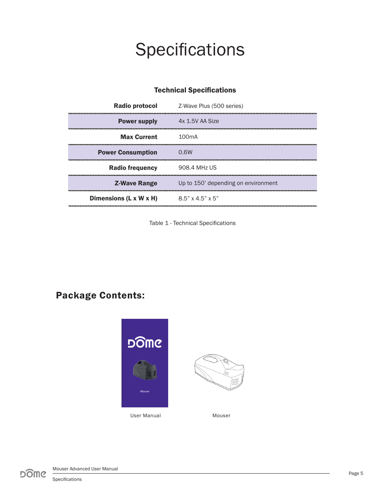# **Specifications**

| Radio protocol           | Z-Wave Plus (500 series)            |
|--------------------------|-------------------------------------|
| <b>Power supply</b>      | 4x 1.5V AA Size                     |
| <b>Max Current</b>       | 100mA                               |
| <b>Power Consumption</b> | 0.6W                                |
| <b>Radio frequency</b>   | 908.4 MHz US                        |
| <b>Z-Wave Range</b>      | Up to 150' depending on environment |
| Dimensions (L x W x H)   | $8.5$ " x 4.5" x 5"                 |

#### Technical Specifications

Table 1 - Technical Specifications

#### Package Contents:

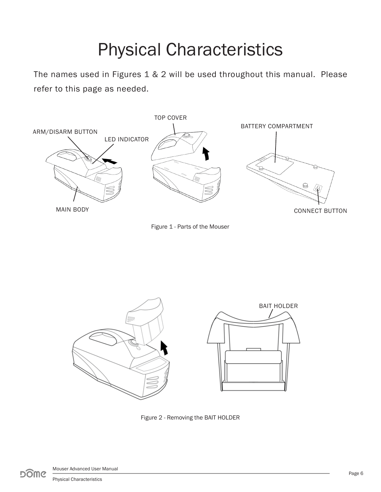# Physical Characteristics

The names used in Figures 1 & 2 will be used throughout this manual. Please refer to this page as needed.







Figure 2 - Removing the BAIT HOLDER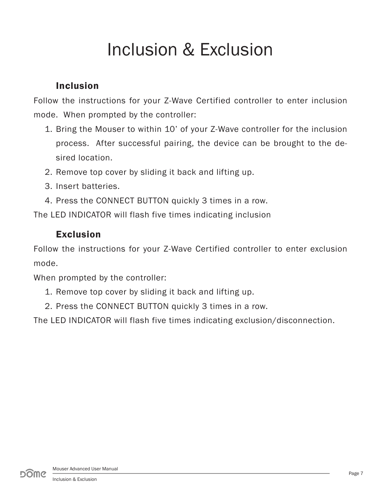# Inclusion & Exclusion

#### Inclusion

Follow the instructions for your Z-Wave Certified controller to enter inclusion mode. When prompted by the controller:

- 1. Bring the Mouser to within 10' of your Z-Wave controller for the inclusion process. After successful pairing, the device can be brought to the desired location.
- 2. Remove top cover by sliding it back and lifting up.
- 3. Insert batteries.
- 4. Press the CONNECT BUTTON quickly 3 times in a row.

The LED INDICATOR will flash five times indicating inclusion

#### Exclusion

Follow the instructions for your Z-Wave Certified controller to enter exclusion mode.

When prompted by the controller:

- 1. Remove top cover by sliding it back and lifting up.
- 2. Press the CONNECT BUTTON quickly 3 times in a row.

The LED INDICATOR will flash five times indicating exclusion/disconnection.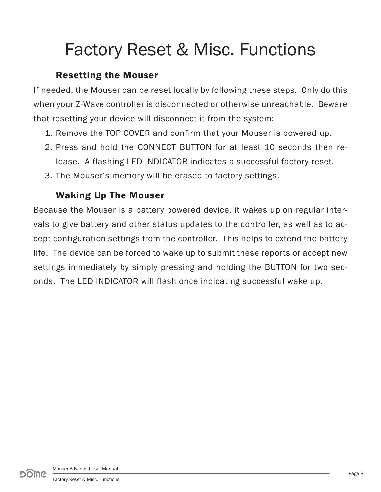# Factory Reset & Misc. Functions

#### Resetting the Mouser

If needed, the Mouser can be reset locally by following these steps. Only do this when your Z-Wave controller is disconnected or otherwise unreachable. Beware that resetting your device will disconnect it from the system:

- 1. Remove the TOP COVER and confirm that your Mouser is powered up.
- 2. Press and hold the CONNECT BUTTON for at least 10 seconds then release. A flashing LED INDICATOR indicates a successful factory reset.
- 3. The Mouser's memory will be erased to factory settings.

#### Waking Up The Mouser

Because the Mouser is a battery powered device, it wakes up on regular intervals to give battery and other status updates to the controller, as well as to accept configuration settings from the controller. This helps to extend the battery life. The device can be forced to wake up to submit these reports or accept new settings immediately by simply pressing and holding the BUTTON for two seconds. The LED INDICATOR will flash once indicating successful wake up.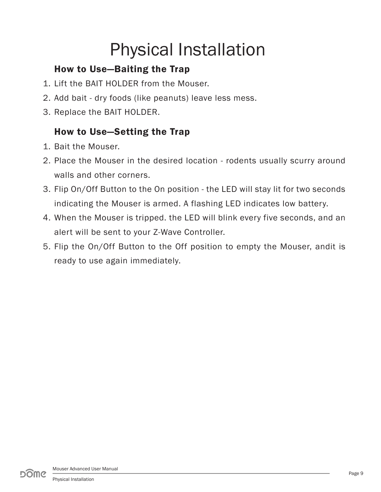# Physical Installation

### How to Use—Baiting the Trap

- 1. Lift the BAIT HOLDER from the Mouser.
- 2. Add bait dry foods (like peanuts) leave less mess.
- 3. Replace the BAIT HOLDER.

### How to Use—Setting the Trap

- 1. Bait the Mouser.
- 2. Place the Mouser in the desired location rodents usually scurry around walls and other corners.
- 3. Flip On/Off Button to the On position the LED will stay lit for two seconds indicating the Mouser is armed. A flashing LED indicates low battery.
- 4. When the Mouser is tripped. the LED will blink every five seconds, and an alert will be sent to your Z-Wave Controller.
- 5. Flip the On/Off Button to the Off position to empty the Mouser, andit is ready to use again immediately.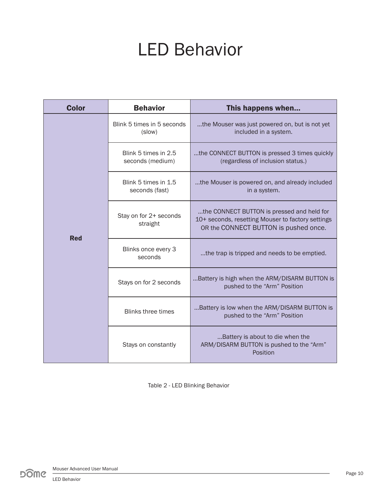## LED Behavior

| <b>Color</b> | <b>Behavior</b>                          | This happens when                                                                                                                        |
|--------------|------------------------------------------|------------------------------------------------------------------------------------------------------------------------------------------|
|              | Blink 5 times in 5 seconds<br>(slow)     | the Mouser was just powered on, but is not yet<br>included in a system.                                                                  |
|              | Blink 5 times in 2.5<br>seconds (medium) | the CONNECT BUTTON is pressed 3 times quickly<br>(regardless of inclusion status.)                                                       |
|              | Blink 5 times in 1.5<br>seconds (fast)   | the Mouser is powered on, and already included<br>in a system.                                                                           |
|              | Stay on for 2+ seconds<br>straight       | the CONNECT BUTTON is pressed and held for<br>10+ seconds, resetting Mouser to factory settings<br>OR the CONNECT BUTTON is pushed once. |
| <b>Red</b>   | Blinks once every 3<br>seconds           | the trap is tripped and needs to be emptied.                                                                                             |
|              | Stays on for 2 seconds                   | Battery is high when the ARM/DISARM BUTTON is<br>pushed to the "Arm" Position                                                            |
|              | <b>Blinks three times</b>                | Battery is low when the ARM/DISARM BUTTON is<br>pushed to the "Arm" Position                                                             |
|              | Stays on constantly                      | Battery is about to die when the<br>ARM/DISARM BUTTON is pushed to the "Arm"<br>Position                                                 |

Table 2 - LED Blinking Behavior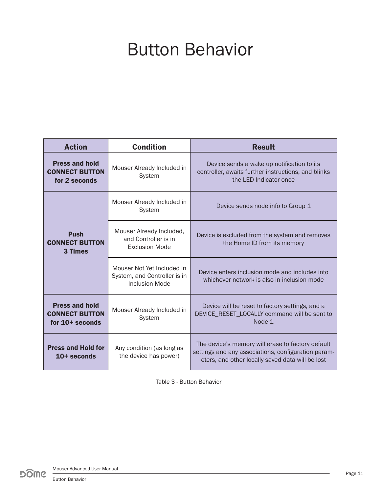## Button Behavior

| <b>Condition</b><br><b>Action</b>                                 |                                                                              | <b>Result</b>                                                                                                                                                |  |
|-------------------------------------------------------------------|------------------------------------------------------------------------------|--------------------------------------------------------------------------------------------------------------------------------------------------------------|--|
| <b>Press and hold</b><br><b>CONNECT BUTTON</b><br>for 2 seconds   | Mouser Already Included in<br>System                                         | Device sends a wake up notification to its<br>controller, awaits further instructions, and blinks<br>the LED Indicator once                                  |  |
|                                                                   | Mouser Already Included in<br>System                                         | Device sends node info to Group 1                                                                                                                            |  |
| <b>Push</b><br><b>CONNECT BUTTON</b><br>3 Times                   | Mouser Already Included,<br>and Controller is in<br><b>Exclusion Mode</b>    | Device is excluded from the system and removes<br>the Home ID from its memory                                                                                |  |
|                                                                   | Mouser Not Yet Included in<br>System, and Controller is in<br>Inclusion Mode | Device enters inclusion mode and includes into<br>whichever network is also in inclusion mode                                                                |  |
| <b>Press and hold</b><br><b>CONNECT BUTTON</b><br>for 10+ seconds | Mouser Already Included in<br>System                                         | Device will be reset to factory settings, and a<br>DEVICE_RESET_LOCALLY command will be sent to<br>Node 1                                                    |  |
| <b>Press and Hold for</b><br>$10+$ seconds                        | Any condition (as long as<br>the device has power)                           | The device's memory will erase to factory default<br>settings and any associations, configuration param-<br>eters, and other locally saved data will be lost |  |

Table 3 - Button Behavior

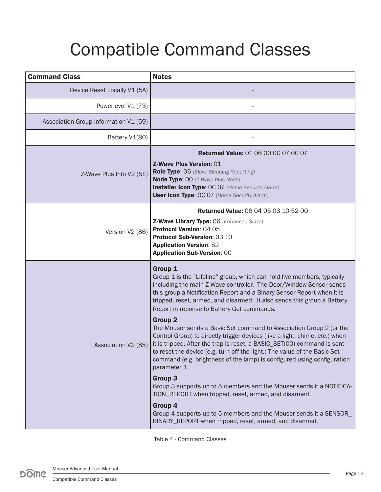# Compatible Command Classes

| <b>Command Class</b>                  | <b>Notes</b>                                                                                                                                                                                                                                                                                                                                                                                                                                                                                                                                                                                                                                                                                                                                                                                                                                                                                                                                                                                                                                                                         |  |
|---------------------------------------|--------------------------------------------------------------------------------------------------------------------------------------------------------------------------------------------------------------------------------------------------------------------------------------------------------------------------------------------------------------------------------------------------------------------------------------------------------------------------------------------------------------------------------------------------------------------------------------------------------------------------------------------------------------------------------------------------------------------------------------------------------------------------------------------------------------------------------------------------------------------------------------------------------------------------------------------------------------------------------------------------------------------------------------------------------------------------------------|--|
| Device Reset Locally V1 (5A)          |                                                                                                                                                                                                                                                                                                                                                                                                                                                                                                                                                                                                                                                                                                                                                                                                                                                                                                                                                                                                                                                                                      |  |
| Powerlevel V1 (73)                    |                                                                                                                                                                                                                                                                                                                                                                                                                                                                                                                                                                                                                                                                                                                                                                                                                                                                                                                                                                                                                                                                                      |  |
| Association Group Information V1 (59) |                                                                                                                                                                                                                                                                                                                                                                                                                                                                                                                                                                                                                                                                                                                                                                                                                                                                                                                                                                                                                                                                                      |  |
| Battery V1(80)                        |                                                                                                                                                                                                                                                                                                                                                                                                                                                                                                                                                                                                                                                                                                                                                                                                                                                                                                                                                                                                                                                                                      |  |
| Z-Wave Plus Info V2 (5E)              | <b>Returned Value: 01 06 00 00 07 00 07</b><br><b>Z-Wave Plus Version: 01</b><br>Role Type: 06 (Slave Sleeping Reporting)<br><b>Node Type: OO (Z-Wave Plus Node)</b><br><b>Installer Icon Type: OC 07 (Home Security Alarm)</b><br><b>User Icon Type: OC 07 (Home Security Alarm)</b>                                                                                                                                                                                                                                                                                                                                                                                                                                                                                                                                                                                                                                                                                                                                                                                                |  |
| Version V2 (86)                       | <b>Returned Value: 06 04 05 03 10 52 00</b><br>Z-Wave Library Type: 06 (Enhanced Slave)<br>Protocol Version: 04 05<br>Protocol Sub-Version: 03 10<br><b>Application Version: 52</b><br><b>Application Sub-Version: 00</b>                                                                                                                                                                                                                                                                                                                                                                                                                                                                                                                                                                                                                                                                                                                                                                                                                                                            |  |
| Association V2 (85)                   | Group 1<br>Group 1 is the "Lifeline" group, which can hold five members, typically<br>including the main Z-Wave controller. The Door/Window Sensor sends<br>this group a Notification Report and a Binary Sensor Report when it is<br>tripped, reset, armed, and disarmed. It also sends this group a Battery<br>Report in reponse to Battery Get commands.<br><b>Group 2</b><br>The Mouser sends a Basic Set command to Association Group 2 (or the<br>Control Group) to directly trigger devices (like a light, chime, etc.) when<br>it is tripped. After the trap is reset, a BASIC_SET(00) command is sent<br>to reset the device (e.g. turn off the light.) The value of the Basic Set<br>command (e.g. brightness of the lamp) is configured using configuration<br>parameter 1.<br><b>Group 3</b><br>Group 3 supports up to 5 members and the Mouser sends it a NOTIFICA-<br>TION_REPORT when tripped, reset, armed, and disarmed.<br>Group 4<br>Group 4 supports up to 5 members and the Mouser sends it a SENSOR<br>BINARY_REPORT when tripped, reset, armed, and disarmed. |  |

Table 4 - Command Classes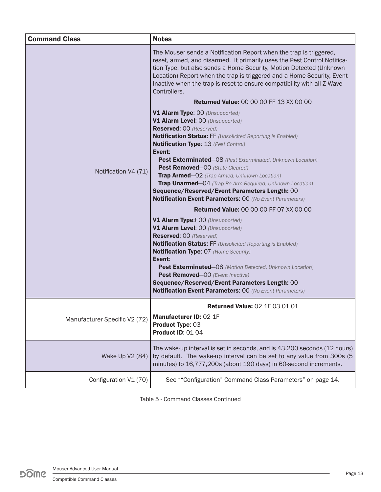| <b>Command Class</b>          | <b>Notes</b>                                                                                                                                                                                                                                                                                                                                                                                                                                                                    |
|-------------------------------|---------------------------------------------------------------------------------------------------------------------------------------------------------------------------------------------------------------------------------------------------------------------------------------------------------------------------------------------------------------------------------------------------------------------------------------------------------------------------------|
|                               | The Mouser sends a Notification Report when the trap is triggered,<br>reset, armed, and disarmed. It primarily uses the Pest Control Notifica-<br>tion Type, but also sends a Home Security, Motion Detected (Unknown<br>Location) Report when the trap is triggered and a Home Security, Event<br>Inactive when the trap is reset to ensure compatibility with all Z-Wave<br>Controllers.<br><b>Returned Value: 00 00 00 FF 13 XX 00 00</b><br>V1 Alarm Type: 00 (Unsupported) |
|                               | V1 Alarm Level: 00 (Unsupported)                                                                                                                                                                                                                                                                                                                                                                                                                                                |
|                               | <b>Reserved: 00 (Reserved)</b>                                                                                                                                                                                                                                                                                                                                                                                                                                                  |
|                               | <b>Notification Status: FF</b> (Unsolicited Reporting is Enabled)                                                                                                                                                                                                                                                                                                                                                                                                               |
|                               | <b>Notification Type: 13 (Pest Control)</b><br>Event:                                                                                                                                                                                                                                                                                                                                                                                                                           |
| Notification V4 (71)          | Pest Exterminated-08 (Pest Exterminated, Unknown Location)<br>Pest Removed-00 (State Cleared)                                                                                                                                                                                                                                                                                                                                                                                   |
|                               | Trap Armed-02 (Trap Armed, Unknown Location)                                                                                                                                                                                                                                                                                                                                                                                                                                    |
|                               | Trap Unarmed-04 (Trap Re-Arm Required, Unknown Location)<br>Sequence/Reserved/Event Parameters Length: 00                                                                                                                                                                                                                                                                                                                                                                       |
|                               | <b>Notification Event Parameters: 00 (No Event Parameters)</b>                                                                                                                                                                                                                                                                                                                                                                                                                  |
|                               | <b>Returned Value: 00 00 00 FF 07 XX 00 00</b>                                                                                                                                                                                                                                                                                                                                                                                                                                  |
|                               | V1 Alarm Type:t 00 (Unsupported)<br>V1 Alarm Level: 00 (Unsupported)<br><b>Reserved: 00 (Reserved)</b><br><b>Notification Status: FF</b> (Unsolicited Reporting is Enabled)<br><b>Notification Type: 07 (Home Security)</b><br>Event:<br>Pest Exterminated-08 (Motion Detected, Unknown Location)<br>Pest Removed-00 (Event Inactive)<br>Sequence/Reserved/Event Parameters Length: 00<br><b>Notification Event Parameters: 00 (No Event Parameters)</b>                        |
| Manufacturer Specific V2 (72) | <b>Returned Value: 02 1F 03 01 01</b><br>Manufacturer ID: 02 1F<br>Product Type: 03<br><b>Product ID: 01 04</b>                                                                                                                                                                                                                                                                                                                                                                 |
| Wake Up V2 (84)               | The wake-up interval is set in seconds, and is 43,200 seconds (12 hours)<br>by default. The wake-up interval can be set to any value from 300s (5<br>minutes) to 16,777,200s (about 190 days) in 60-second increments.                                                                                                                                                                                                                                                          |
| Configuration V1 (70)         | See ""Configuration" Command Class Parameters" on page 14.                                                                                                                                                                                                                                                                                                                                                                                                                      |

Table 5 - Command Classes Continued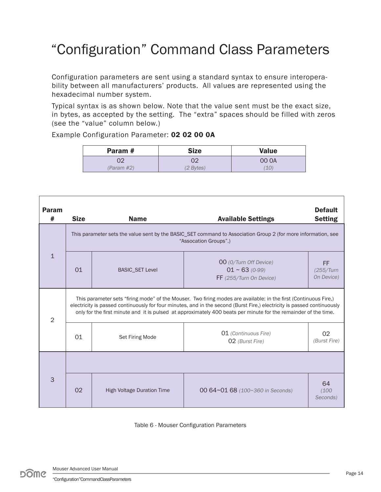### "Configuration" Command Class Parameters

Configuration parameters are sent using a standard syntax to ensure interoperability between all manufacturers' products. All values are represented using the hexadecimal number system.

Typical syntax is as shown below. Note that the value sent must be the exact size, in bytes, as accepted by the setting. The "extra" spaces should be filled with zeros (see the "value" column below.)

Example Configuration Parameter: 02 02 00 0A

| Param #    | <b>Size</b> | <b>Value</b> |
|------------|-------------|--------------|
|            |             | 00 OA        |
| (Param #2) | $(2$ Bytes) |              |

| Param<br>#     | <b>Size</b>                                                                                                                                                                                                                                                                                                                                                    | <b>Name</b>                                                                                                                            | <b>Available Settings</b>                                                | <b>Default</b><br><b>Setting</b> |  |
|----------------|----------------------------------------------------------------------------------------------------------------------------------------------------------------------------------------------------------------------------------------------------------------------------------------------------------------------------------------------------------------|----------------------------------------------------------------------------------------------------------------------------------------|--------------------------------------------------------------------------|----------------------------------|--|
|                |                                                                                                                                                                                                                                                                                                                                                                | This parameter sets the value sent by the BASIC_SET command to Association Group 2 (for more information, see<br>"Assocation Groups".) |                                                                          |                                  |  |
| $\mathbf{1}$   | 01                                                                                                                                                                                                                                                                                                                                                             | <b>BASIC_SET Level</b>                                                                                                                 | 00 (0/Turn Off Device)<br>$01 \sim 63$ (0-99)<br>FF (255/Turn On Device) | FF.<br>(255/Turn<br>On Device)   |  |
| $\overline{2}$ | This parameter sets "firing mode" of the Mouser. Two firing modes are available: in the first (Continuous Fire,)<br>electricity is passed continuously for four minutes, and in the second (Burst Fire,) electricity is passed continuously<br>only for the first minute and it is pulsed at approximately 400 beats per minute for the remainder of the time. |                                                                                                                                        |                                                                          |                                  |  |
|                | 01                                                                                                                                                                                                                                                                                                                                                             | <b>Set Firing Mode</b>                                                                                                                 | 01 (Continuous Fire)<br>02 (Burst Fire)                                  | 02<br>(Burst Fire)               |  |
|                |                                                                                                                                                                                                                                                                                                                                                                |                                                                                                                                        |                                                                          |                                  |  |
| 3              | 02                                                                                                                                                                                                                                                                                                                                                             | <b>High Voltage Duration Time</b>                                                                                                      | 00 64~01 68 (100~360 in Seconds)                                         | 64<br>(100)<br>Seconds)          |  |

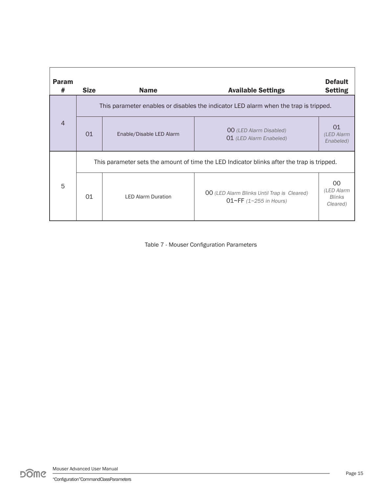| <b>Param</b><br># | <b>Size</b>                                                                                | <b>Name</b>               | <b>Available Settings</b>                                                        | <b>Default</b><br><b>Setting</b>              |
|-------------------|--------------------------------------------------------------------------------------------|---------------------------|----------------------------------------------------------------------------------|-----------------------------------------------|
|                   | This parameter enables or disables the indicator LED alarm when the trap is tripped.       |                           |                                                                                  |                                               |
| $\overline{4}$    | 01                                                                                         | Enable/Disable LED Alarm  | <b>00</b> (LED Alarm Disabled)<br>01 (LED Alarm Enabeled)                        | 01<br>(LED Alarm<br>Enabeled)                 |
|                   | This parameter sets the amount of time the LED Indicator blinks after the trap is tripped. |                           |                                                                                  |                                               |
| 5                 | 01                                                                                         | <b>LED Alarm Duration</b> | <b>00</b> (LED Alarm Blinks Until Trap is Cleared)<br>$01~F$ FF (1~255 in Hours) | 00<br>(LED Alarm<br><b>Blinks</b><br>Cleared) |

Table 7 - Mouser Configuration Parameters

Mouser Advanced User Manual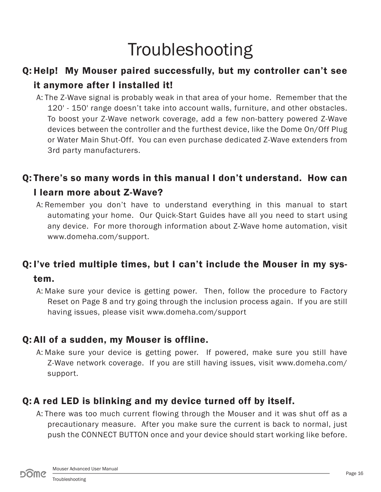# **Troubleshooting**

### Q: Help! My Mouser paired successfully, but my controller can't see it anymore after I installed it!

A: The Z-Wave signal is probably weak in that area of your home. Remember that the 120' - 150' range doesn't take into account walls, furniture, and other obstacles. To boost your Z-Wave network coverage, add a few non-battery powered Z-Wave devices between the controller and the furthest device, like the Dome On/Off Plug or Water Main Shut-Off. You can even purchase dedicated Z-Wave extenders from 3rd party manufacturers.

### Q: There's so many words in this manual I don't understand. How can I learn more about Z-Wave?

A: Remember you don't have to understand everything in this manual to start automating your home. Our Quick-Start Guides have all you need to start using any device. For more thorough information about Z-Wave home automation, visit www.domeha.com/support.

### Q: I've tried multiple times, but I can't include the Mouser in my sys-

#### tem.

A: Make sure your device is getting power. Then, follow the procedure to Factory Reset on Page 8 and try going through the inclusion process again. If you are still having issues, please visit www.domeha.com/support

#### Q: All of a sudden, my Mouser is offline.

A: Make sure your device is getting power. If powered, make sure you still have Z-Wave network coverage. If you are still having issues, visit www.domeha.com/ support.

#### Q: A red LED is blinking and my device turned off by itself.

A: There was too much current flowing through the Mouser and it was shut off as a precautionary measure. After you make sure the current is back to normal, just push the CONNECT BUTTON once and your device should start working like before.